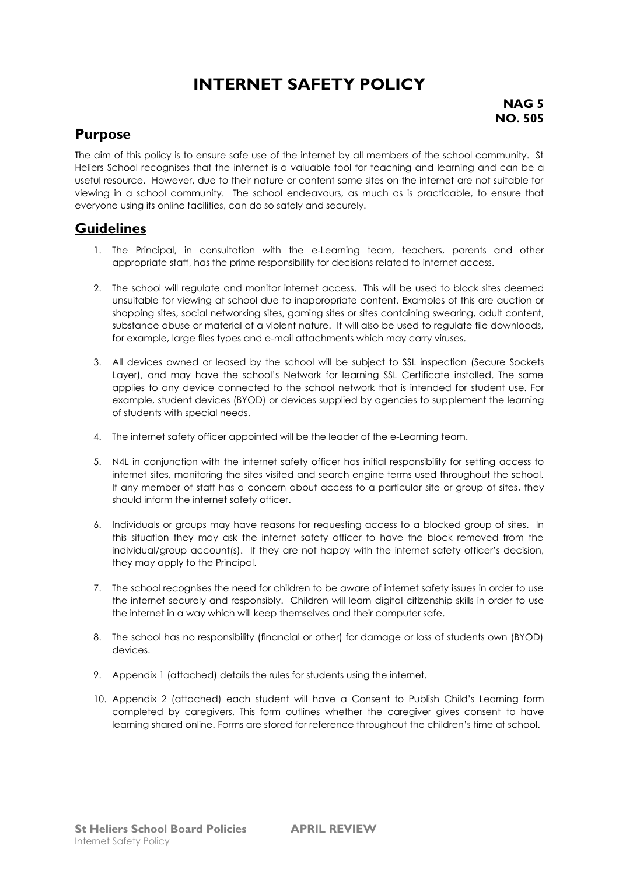## **INTERNET SAFETY POLICY**

**NAG 5 NO. 505**

## **Purpose**

The aim of this policy is to ensure safe use of the internet by all members of the school community. St Heliers School recognises that the internet is a valuable tool for teaching and learning and can be a useful resource. However, due to their nature or content some sites on the internet are not suitable for viewing in a school community. The school endeavours, as much as is practicable, to ensure that everyone using its online facilities, can do so safely and securely.

#### **Guidelines**

- 1. The Principal, in consultation with the e-Learning team, teachers, parents and other appropriate staff, has the prime responsibility for decisions related to internet access.
- 2. The school will regulate and monitor internet access. This will be used to block sites deemed unsuitable for viewing at school due to inappropriate content. Examples of this are auction or shopping sites, social networking sites, gaming sites or sites containing swearing, adult content, substance abuse or material of a violent nature. It will also be used to regulate file downloads, for example, large files types and e-mail attachments which may carry viruses.
- 3. All devices owned or leased by the school will be subject to SSL inspection (Secure Sockets Layer), and may have the school's Network for learning SSL Certificate installed. The same applies to any device connected to the school network that is intended for student use. For example, student devices (BYOD) or devices supplied by agencies to supplement the learning of students with special needs.
- 4. The internet safety officer appointed will be the leader of the e-Learning team.
- 5. N4L in conjunction with the internet safety officer has initial responsibility for setting access to internet sites, monitoring the sites visited and search engine terms used throughout the school. If any member of staff has a concern about access to a particular site or group of sites, they should inform the internet safety officer.
- 6. Individuals or groups may have reasons for requesting access to a blocked group of sites. In this situation they may ask the internet safety officer to have the block removed from the individual/group account(s). If they are not happy with the internet safety officer's decision, they may apply to the Principal.
- 7. The school recognises the need for children to be aware of internet safety issues in order to use the internet securely and responsibly. Children will learn digital citizenship skills in order to use the internet in a way which will keep themselves and their computer safe.
- 8. The school has no responsibility (financial or other) for damage or loss of students own (BYOD) devices.
- 9. Appendix 1 (attached) details the rules for students using the internet.
- 10. Appendix 2 (attached) each student will have a Consent to Publish Child's Learning form completed by caregivers. This form outlines whether the caregiver gives consent to have learning shared online. Forms are stored for reference throughout the children's time at school.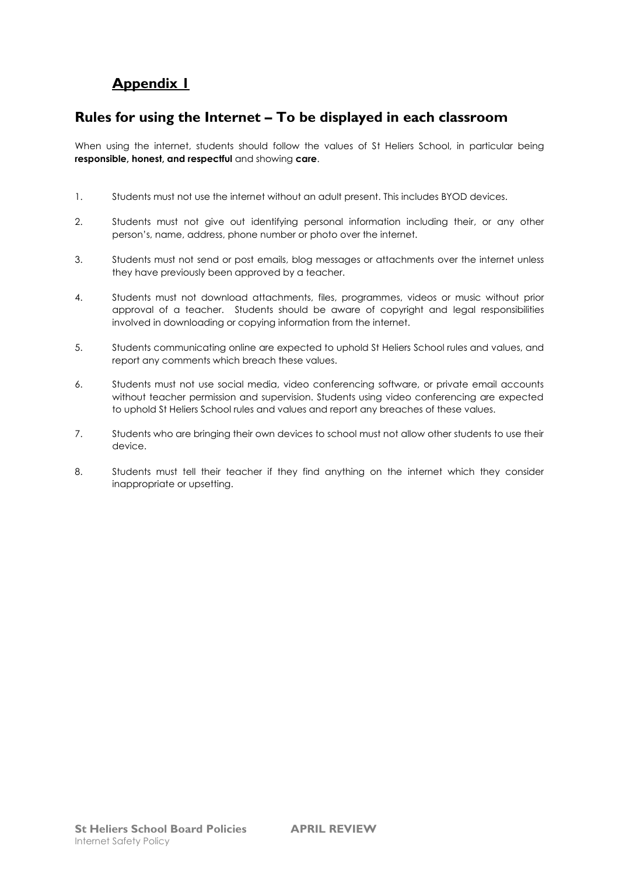## **Appendix 1**

#### **Rules for using the Internet – To be displayed in each classroom**

When using the internet, students should follow the values of St Heliers School, in particular being **responsible, honest, and respectful** and showing **care**.

- 1. Students must not use the internet without an adult present. This includes BYOD devices.
- 2. Students must not give out identifying personal information including their, or any other person's, name, address, phone number or photo over the internet.
- 3. Students must not send or post emails, blog messages or attachments over the internet unless they have previously been approved by a teacher.
- 4. Students must not download attachments, files, programmes, videos or music without prior approval of a teacher. Students should be aware of copyright and legal responsibilities involved in downloading or copying information from the internet.
- 5. Students communicating online are expected to uphold St Heliers School rules and values, and report any comments which breach these values.
- 6. Students must not use social media, video conferencing software, or private email accounts without teacher permission and supervision. Students using video conferencing are expected to uphold St Heliers School rules and values and report any breaches of these values.
- 7. Students who are bringing their own devices to school must not allow other students to use their device.
- 8. Students must tell their teacher if they find anything on the internet which they consider inappropriate or upsetting.